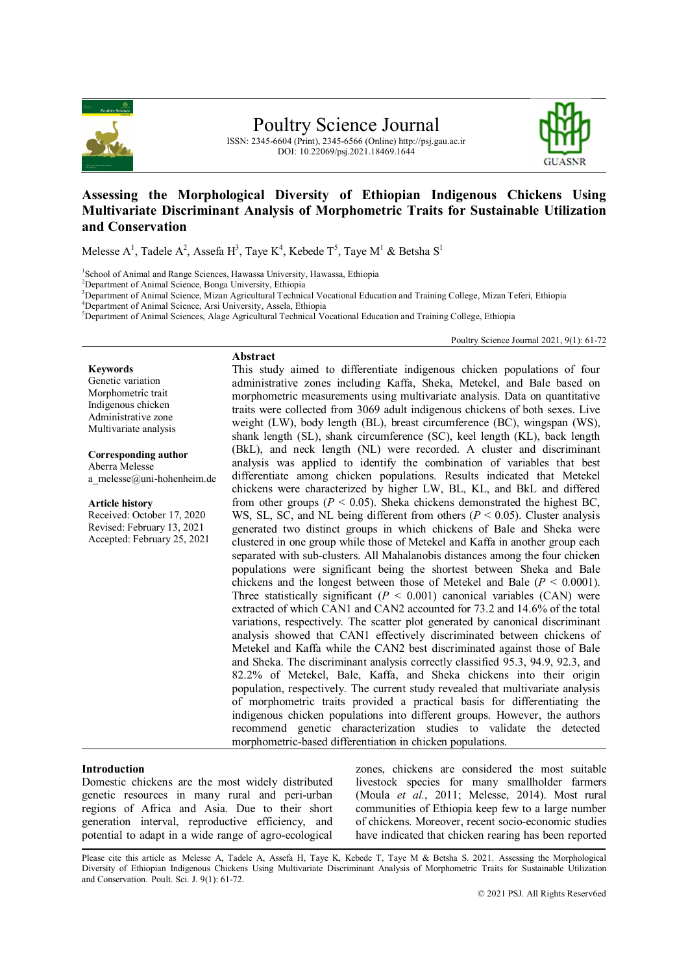

Poultry Science Journal

ISSN: 2345-6604 (Print), 2345-6566 (Online) http://psj.gau.ac.ir DOI: 10.22069/psj.2021.18469.1644



# **Assessing the Morphological Diversity of Ethiopian Indigenous Chickens Using Multivariate Discriminant Analysis of Morphometric Traits for Sustainable Utilization and Conservation**

Melesse A<sup>1</sup>, Tadele A<sup>2</sup>, Assefa H<sup>3</sup>, Taye K<sup>4</sup>, Kebede T<sup>5</sup>, Taye M<sup>1</sup> & Betsha S<sup>1</sup>

<sup>1</sup>School of Animal and Range Sciences, Hawassa University, Hawassa, Ethiopia

<sup>2</sup>Department of Animal Science, Bonga University, Ethiopia

<sup>3</sup>Department of Animal Science, Mizan Agricultural Technical Vocational Education and Training College, Mizan Teferi, Ethiopia

<sup>4</sup>Department of Animal Science, Arsi University, Assela, Ethiopia

<sup>5</sup>Department of Animal Sciences, Alage Agricultural Technical Vocational Education and Training College, Ethiopia

Poultry Science Journal 2021, 9(1): 61-72

#### **Keywords**

Genetic variation Morphometric trait Indigenous chicken Administrative zone Multivariate analysis

#### **Corresponding author**

Aberra Melesse a\_melesse@uni-hohenheim.de

#### **Article history**

Received: October 17, 2020 Revised: February 13, 2021 Accepted: February 25, 2021

| Abstract                                                                        |
|---------------------------------------------------------------------------------|
| This study aimed to differentiate indigenous chicken populations of four        |
| administrative zones including Kaffa, Sheka, Metekel, and Bale based on         |
| morphometric measurements using multivariate analysis. Data on quantitative     |
| traits were collected from 3069 adult indigenous chickens of both sexes. Live   |
| weight (LW), body length (BL), breast circumference (BC), wingspan (WS),        |
| shank length (SL), shank circumference (SC), keel length (KL), back length      |
| (BkL), and neck length (NL) were recorded. A cluster and discriminant           |
| analysis was applied to identify the combination of variables that best         |
| differentiate among chicken populations. Results indicated that Metekel         |
| chickens were characterized by higher LW, BL, KL, and BkL and differed          |
| from other groups ( $P < 0.05$ ). Sheka chickens demonstrated the highest BC,   |
| WS, SL, SC, and NL being different from others ( $P < 0.05$ ). Cluster analysis |
| generated two distinct groups in which chickens of Bale and Sheka were          |
| clustered in one group while those of Metekel and Kaffa in another group each   |
| separated with sub-clusters. All Mahalanobis distances among the four chicken   |
| populations were significant being the shortest between Sheka and Bale          |
| chickens and the longest between those of Metekel and Bale ( $P < 0.0001$ ).    |
| Three statistically significant ( $P < 0.001$ ) canonical variables (CAN) were  |
| extracted of which CAN1 and CAN2 accounted for 73.2 and 14.6% of the total      |
| variations, respectively. The scatter plot generated by canonical discriminant  |
| analysis showed that CAN1 effectively discriminated between chickens of         |
| Metekel and Kaffa while the CAN2 best discriminated against those of Bale       |
| and Sheka. The discriminant analysis correctly classified 95.3, 94.9, 92.3, and |
| 82.2% of Metekel, Bale, Kaffa, and Sheka chickens into their origin             |
| population, respectively. The current study revealed that multivariate analysis |
| of morphometric traits provided a practical basis for differentiating the       |
| indigenous chicken populations into different groups. However, the authors      |
| recommend genetic characterization studies to validate the detected             |
| morphometric-based differentiation in chicken populations.                      |

#### **Introduction**

Domestic chickens are the most widely distributed genetic resources in many rural and peri-urban regions of Africa and Asia. Due to their short generation interval, reproductive efficiency, and potential to adapt in a wide range of agro-ecological

zones, chickens are considered the most suitable livestock species for many smallholder farmers (Moula *et al.*, 2011; Melesse, 2014). Most rural communities of Ethiopia keep few to a large number of chickens. Moreover, recent socio-economic studies have indicated that chicken rearing has been reported

Please cite this article as Melesse A, Tadele A, Assefa H, Taye K, Kebede T, Taye M & Betsha S. 2021. Assessing the Morphological Diversity of Ethiopian Indigenous Chickens Using Multivariate Discriminant Analysis of Morphometric Traits for Sustainable Utilization and Conservation. Poult. Sci. J. 9(1): 61-72.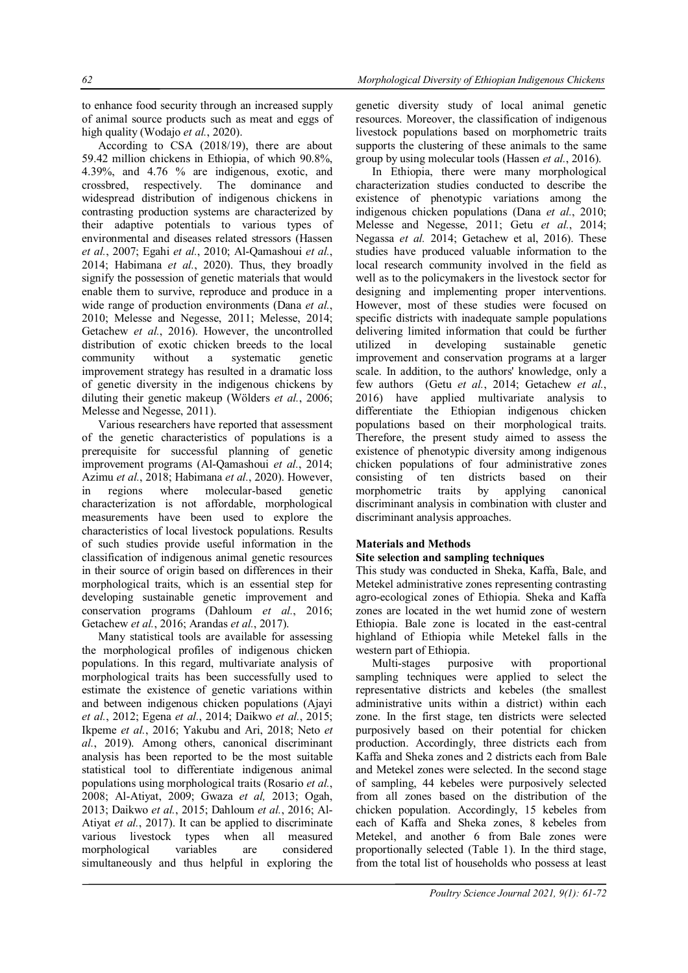to enhance food security through an increased supply of animal source products such as meat and eggs of high quality (Wodajo *et al.*, 2020).

According to CSA (2018/19), there are about 59.42 million chickens in Ethiopia, of which 90.8%, 4.39%, and 4.76 % are indigenous, exotic, and crossbred, respectively. The dominance and widespread distribution of indigenous chickens in contrasting production systems are characterized by their adaptive potentials to various types of environmental and diseases related stressors (Hassen *et al.*, 2007; Egahi *et al.*, 2010; Al-Qamashoui *et al.*, 2014; Habimana *et al.*, 2020). Thus, they broadly signify the possession of genetic materials that would enable them to survive, reproduce and produce in a wide range of production environments (Dana *et al.*, 2010; Melesse and Negesse, 2011; Melesse, 2014; Getachew *et al.*, 2016). However, the uncontrolled distribution of exotic chicken breeds to the local community without a systematic genetic improvement strategy has resulted in a dramatic loss of genetic diversity in the indigenous chickens by diluting their genetic makeup (Wölders *et al.*, 2006; Melesse and Negesse, 2011).

Various researchers have reported that assessment of the genetic characteristics of populations is a prerequisite for successful planning of genetic improvement programs (Al-Qamashoui *et al.*, 2014; Azimu *et al.*, 2018; Habimana *et al.*, 2020). However, in regions where molecular-based genetic characterization is not affordable, morphological measurements have been used to explore the characteristics of local livestock populations. Results of such studies provide useful information in the classification of indigenous animal genetic resources in their source of origin based on differences in their morphological traits, which is an essential step for developing sustainable genetic improvement and conservation programs (Dahloum *et al.*, 2016; Getachew *et al.*, 2016; Arandas *et al.*, 2017).

Many statistical tools are available for assessing the morphological profiles of indigenous chicken populations. In this regard, multivariate analysis of morphological traits has been successfully used to estimate the existence of genetic variations within and between indigenous chicken populations (Ajayi *et al.*, 2012; Egena *et al.*, 2014; Daikwo *et al.*, 2015; Ikpeme *et al.*, 2016; Yakubu and Ari, 2018; Neto *et al.*, 2019). Among others, canonical discriminant analysis has been reported to be the most suitable statistical tool to differentiate indigenous animal populations using morphological traits (Rosario *et al.*, 2008; Al-Atiyat, 2009; Gwaza *et al,* 2013; Ogah, 2013; Daikwo *et al.*, 2015; Dahloum *et al.*, 2016; Al-Atiyat *et al.*, 2017). It can be applied to discriminate various livestock types when all measured morphological variables are considered simultaneously and thus helpful in exploring the

genetic diversity study of local animal genetic resources. Moreover, the classification of indigenous livestock populations based on morphometric traits supports the clustering of these animals to the same group by using molecular tools (Hassen *et al.*, 2016).

In Ethiopia, there were many morphological characterization studies conducted to describe the existence of phenotypic variations among the indigenous chicken populations (Dana *et al.*, 2010; Melesse and Negesse, 2011; Getu *et al.*, 2014; Negassa *et al.* 2014; Getachew et al, 2016). These studies have produced valuable information to the local research community involved in the field as well as to the policymakers in the livestock sector for designing and implementing proper interventions. However, most of these studies were focused on specific districts with inadequate sample populations delivering limited information that could be further utilized in developing sustainable genetic improvement and conservation programs at a larger scale. In addition, to the authors' knowledge, only a few authors (Getu *et al.*, 2014; Getachew *et al.*, 2016) have applied multivariate analysis to differentiate the Ethiopian indigenous chicken populations based on their morphological traits. Therefore, the present study aimed to assess the existence of phenotypic diversity among indigenous chicken populations of four administrative zones consisting of ten districts based on their morphometric traits by applying canonical discriminant analysis in combination with cluster and discriminant analysis approaches.

# **Materials and Methods**

# **Site selection and sampling techniques**

This study was conducted in Sheka, Kaffa, Bale, and Metekel administrative zones representing contrasting agro-ecological zones of Ethiopia. Sheka and Kaffa zones are located in the wet humid zone of western Ethiopia. Bale zone is located in the east-central highland of Ethiopia while Metekel falls in the western part of Ethiopia.

Multi-stages purposive with proportional sampling techniques were applied to select the representative districts and kebeles (the smallest administrative units within a district) within each zone. In the first stage, ten districts were selected purposively based on their potential for chicken production. Accordingly, three districts each from Kaffa and Sheka zones and 2 districts each from Bale and Metekel zones were selected. In the second stage of sampling, 44 kebeles were purposively selected from all zones based on the distribution of the chicken population. Accordingly, 15 kebeles from each of Kaffa and Sheka zones, 8 kebeles from Metekel, and another 6 from Bale zones were proportionally selected (Table 1). In the third stage, from the total list of households who possess at least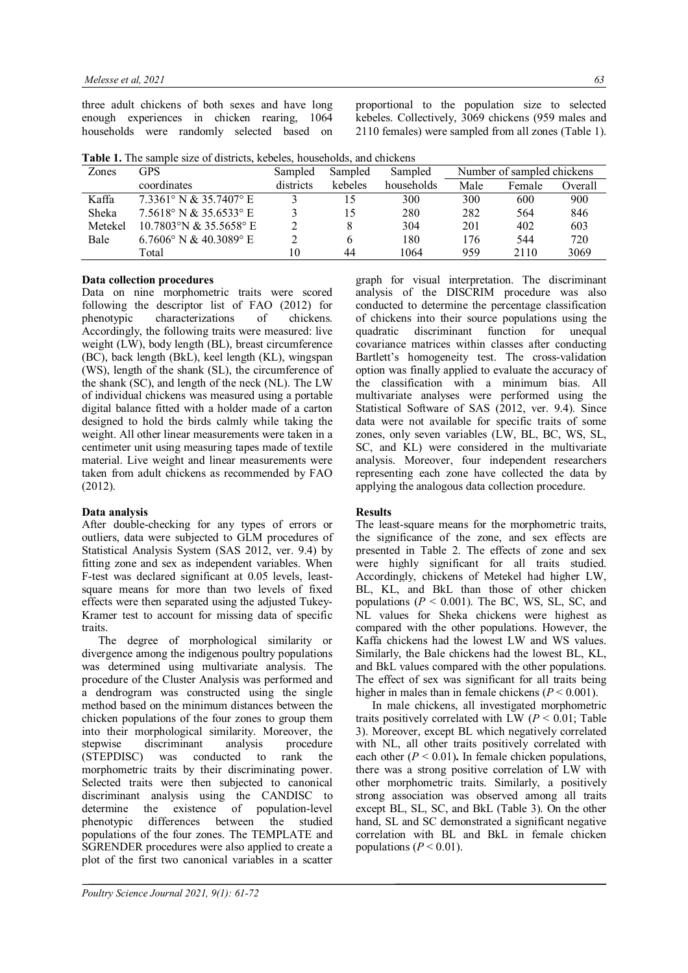three adult chickens of both sexes and have long enough experiences in chicken rearing, 1064 households were randomly selected based on proportional to the population size to selected kebeles. Collectively, 3069 chickens (959 males and 2110 females) were sampled from all zones (Table 1).

|--|

| Zones   | GPS                             | Sampled              | Sampled | Sampled    | Number of sampled chickens |        |         |  |  |
|---------|---------------------------------|----------------------|---------|------------|----------------------------|--------|---------|--|--|
|         | coordinates                     | kebeles<br>districts |         | households | Male                       | Female | Overall |  |  |
| Kaffa   | $7.3361^{\circ}$ N & 35.7407° E |                      | 15      | 300        | 300                        | 600    | 900     |  |  |
| Sheka   | $7.5618$ ° N & 35.6533° E       |                      | 15      | 280        | 282                        | 564    | 846     |  |  |
| Metekel | 10.7803°N & 35.5658°E           |                      | 8       | 304        | 201                        | 402    | 603     |  |  |
| Bale    | $6.7606^{\circ}$ N & 40.3089° E |                      | b       | 180        | 176                        | 544    | 720     |  |  |
|         | Total                           | 10                   | 44      | 1064       | 959                        | 2110   | 3069    |  |  |

### **Data collection procedures**

Data on nine morphometric traits were scored following the descriptor list of FAO (2012) for phenotypic characterizations of chickens. Accordingly, the following traits were measured: live weight (LW), body length (BL), breast circumference (BC), back length (BkL), keel length (KL), wingspan (WS), length of the shank (SL), the circumference of the shank (SC), and length of the neck (NL). The LW of individual chickens was measured using a portable digital balance fitted with a holder made of a carton designed to hold the birds calmly while taking the weight. All other linear measurements were taken in a centimeter unit using measuring tapes made of textile material. Live weight and linear measurements were taken from adult chickens as recommended by FAO (2012).

### **Data analysis**

After double-checking for any types of errors or outliers, data were subjected to GLM procedures of Statistical Analysis System (SAS 2012, ver. 9.4) by fitting zone and sex as independent variables. When F-test was declared significant at 0.05 levels, leastsquare means for more than two levels of fixed effects were then separated using the adjusted Tukey-Kramer test to account for missing data of specific traits.

The degree of morphological similarity or divergence among the indigenous poultry populations was determined using multivariate analysis. The procedure of the Cluster Analysis was performed and a dendrogram was constructed using the single method based on the minimum distances between the chicken populations of the four zones to group them into their morphological similarity. Moreover, the stepwise discriminant analysis procedure<br>(STEPDISC) was conducted to rank the (STEPDISC) was conducted to rank the morphometric traits by their discriminating power. Selected traits were then subjected to canonical discriminant analysis using the CANDISC to<br>determine the existence of nonulation-level determine the existence of population-level phenotypic differences between the studied populations of the four zones. The TEMPLATE and SGRENDER procedures were also applied to create a plot of the first two canonical variables in a scatter

graph for visual interpretation. The discriminant analysis of the DISCRIM procedure was also conducted to determine the percentage classification of chickens into their source populations using the quadratic discriminant function for unequal covariance matrices within classes after conducting Bartlett's homogeneity test. The cross-validation option was finally applied to evaluate the accuracy of the classification with a minimum bias. All multivariate analyses were performed using the Statistical Software of SAS (2012, ver. 9.4). Since data were not available for specific traits of some zones, only seven variables (LW, BL, BC, WS, SL, SC, and KL) were considered in the multivariate analysis. Moreover, four independent researchers representing each zone have collected the data by applying the analogous data collection procedure.

### **Results**

The least-square means for the morphometric traits, the significance of the zone, and sex effects are presented in Table 2. The effects of zone and sex were highly significant for all traits studied. Accordingly, chickens of Metekel had higher LW, BL, KL, and BkL than those of other chicken populations  $(P < 0.001)$ . The BC, WS, SL, SC, and NL values for Sheka chickens were highest as compared with the other populations. However, the Kaffa chickens had the lowest LW and WS values. Similarly, the Bale chickens had the lowest BL, KL, and BkL values compared with the other populations. The effect of sex was significant for all traits being higher in males than in female chickens  $(P < 0.001)$ .

In male chickens, all investigated morphometric traits positively correlated with LW  $(P < 0.01$ ; Table 3). Moreover, except BL which negatively correlated with NL, all other traits positively correlated with each other (*P* < 0.01)**.** In female chicken populations, there was a strong positive correlation of LW with other morphometric traits. Similarly, a positively strong association was observed among all traits except BL, SL, SC, and BkL (Table 3). On the other hand, SL and SC demonstrated a significant negative correlation with BL and BkL in female chicken populations  $(P < 0.01)$ .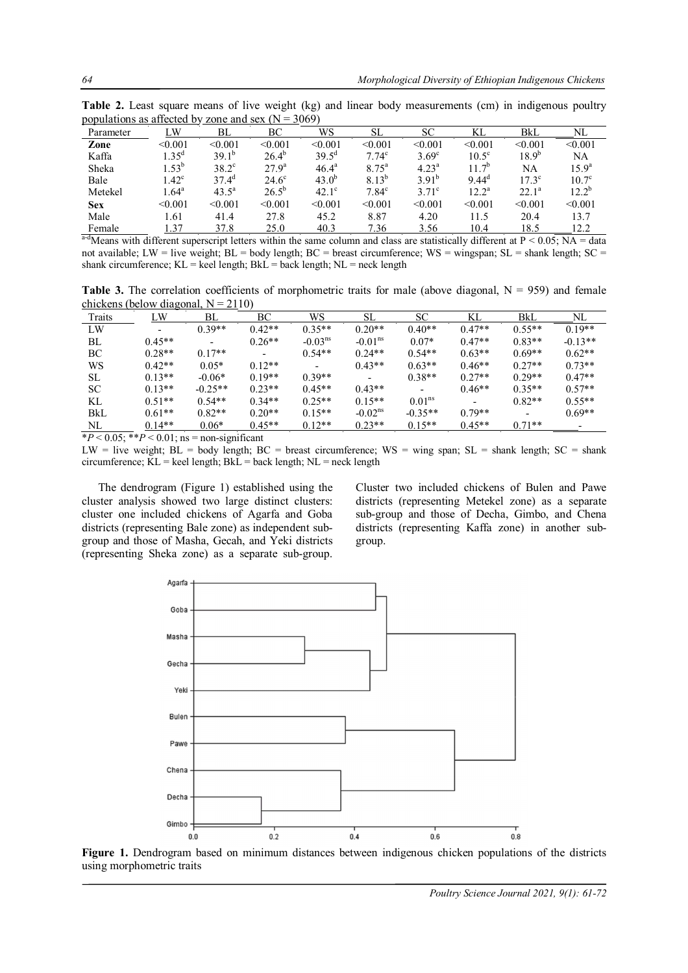| Parameter | ĹW                  | BL             | ВC           | WS                | SL                | SС             | KL             | BkL            | NL             |
|-----------|---------------------|----------------|--------------|-------------------|-------------------|----------------|----------------|----------------|----------------|
| Zone      | < 0.001             | < 0.001        | < 0.001      | < 0.001           | < 0.001           | < 0.001        | < 0.001        | < 0.001        | < 0.001        |
| Kaffa     | $1.35^{\rm d}$      | $39.1^{b}$     | $26.4^{b}$   | $39.5^{\text{d}}$ | 7.74 <sup>c</sup> | $3.69^\circ$   | $10.5^{\circ}$ | $18.9^{b}$     | NA             |
| Sheka     | $1.53^{b}$          | $38.2^{\circ}$ | $27.9^{a}$   | $46.4^{\circ}$    | $8.75^{\rm a}$    | $4.23^{\rm a}$ | $17^{b}$       | NA             | $15.9^{\circ}$ |
| Bale      | $1.42^{\circ}$      | $37.4^{\rm d}$ | $24.6^\circ$ | $43.0^{b}$        | $8.13^{b}$        | $3.91^{b}$     | $9.44^{\rm d}$ | $17.3^{\circ}$ | $10.7^\circ$   |
| Metekel   | $1.64$ <sup>a</sup> | $43.5^{\circ}$ | $26.5^{b}$   | $42.1^\circ$      | $7.84^{\circ}$    | $3.71^{\circ}$ | $12.2^{\rm a}$ | $22.1^a$       | $12.2^{\circ}$ |
| Sex       | < 0.001             | < 0.001        | < 0.001      | < 0.001           | < 0.001           | < 0.001        | < 0.001        | < 0.001        | < 0.001        |
| Male      | 1.61                | 41.4           | 27.8         | 45.2              | 8.87              | 4.20           | 11.5           | 20.4           | 13.7           |
| Female    | 1.37                | 37.8           | 25.0         | 40.3              | 7.36              | 3.56           | 10.4           | 18.5           | 12.2           |

**Table 2.** Least square means of live weight (kg) and linear body measurements (cm) in indigenous poultry populations as affected by zone and sex  $(N = 3069)$ 

<sup>a-d</sup>Means with different superscript letters within the same column and class are statistically different at  $P \le 0.05$ ; NA = data not available; LW = live weight;  $BL = body$  length;  $BC = breast$  circumference;  $WS = wingspan$ ;  $SL = shank$  length;  $SC =$ shank circumference;  $KL =$  keel length;  $BkL =$  back length;  $NL =$  neck length

**Table 3.** The correlation coefficients of morphometric traits for male (above diagonal,  $N = 959$ ) and female chickens (below diagonal,  $N = 2110$ )

| LW       | BL                       | ВC                       | WS                       | SL        | SС                 | KL       | BkL      | NL        |
|----------|--------------------------|--------------------------|--------------------------|-----------|--------------------|----------|----------|-----------|
|          | $0.39**$                 | $0.42**$                 | $0.35**$                 | $0.20**$  | $0.40**$           | $0.47**$ | $0.55**$ | $0.19**$  |
| $0.45**$ | $\overline{\phantom{a}}$ | $0.26**$                 | $-0.03ns$                | $-0.01ns$ | $0.07*$            | $0.47**$ | $0.83**$ | $-0.13**$ |
| $0.28**$ | $0.17**$                 | $\overline{\phantom{0}}$ | $0.54**$                 | $0.24**$  | $0.54**$           | $0.63**$ | $0.69**$ | $0.62**$  |
| $0.42**$ | $0.05*$                  | $0.12**$                 | $\overline{\phantom{a}}$ | $0.43**$  | $0.63**$           | $0.46**$ | $0.27**$ | $0.73**$  |
| $0.13**$ | $-0.06*$                 | $0.19**$                 | $0.39**$                 |           | $0.38**$           | $0.27**$ | $0.29**$ | $0.47**$  |
| $0.13**$ | $-0.25**$                | $0.23**$                 | $0.45**$                 | $0.43**$  |                    | $0.46**$ | $0.35**$ | $0.57**$  |
| $0.51**$ | $0.54**$                 | $0.34**$                 | $0.25**$                 | $0.15**$  | 0.01 <sup>ns</sup> |          | $0.82**$ | $0.55**$  |
| $0.61**$ | $0.82**$                 | $0.20**$                 | $0.15**$                 | $-0.02ns$ | $-0.35**$          | $0.79**$ |          | $0.69**$  |
| $0.14**$ | $0.06*$                  | $0.45**$                 | $0.12**$                 | $0.23**$  | $0.15**$           | $0.45**$ | $0.71**$ |           |
|          |                          |                          |                          |           |                    |          |          |           |

 $*P < 0.05$ ;  $*P < 0.01$ ; ns = non-significant

LW = live weight;  $BL = body$  length;  $BC = breast$  circumference;  $WS = wing$  span;  $SL = shank$  length;  $SC = shank$ circumference;  $\overline{KL}$  = keel length;  $Bk\overline{L}$  = back length;  $NL$  = neck length

The dendrogram (Figure 1) established using the cluster analysis showed two large distinct clusters: cluster one included chickens of Agarfa and Goba districts (representing Bale zone) as independent subgroup and those of Masha, Gecah, and Yeki districts (representing Sheka zone) as a separate sub-group.

Cluster two included chickens of Bulen and Pawe districts (representing Metekel zone) as a separate sub-group and those of Decha, Gimbo, and Chena districts (representing Kaffa zone) in another subgroup.



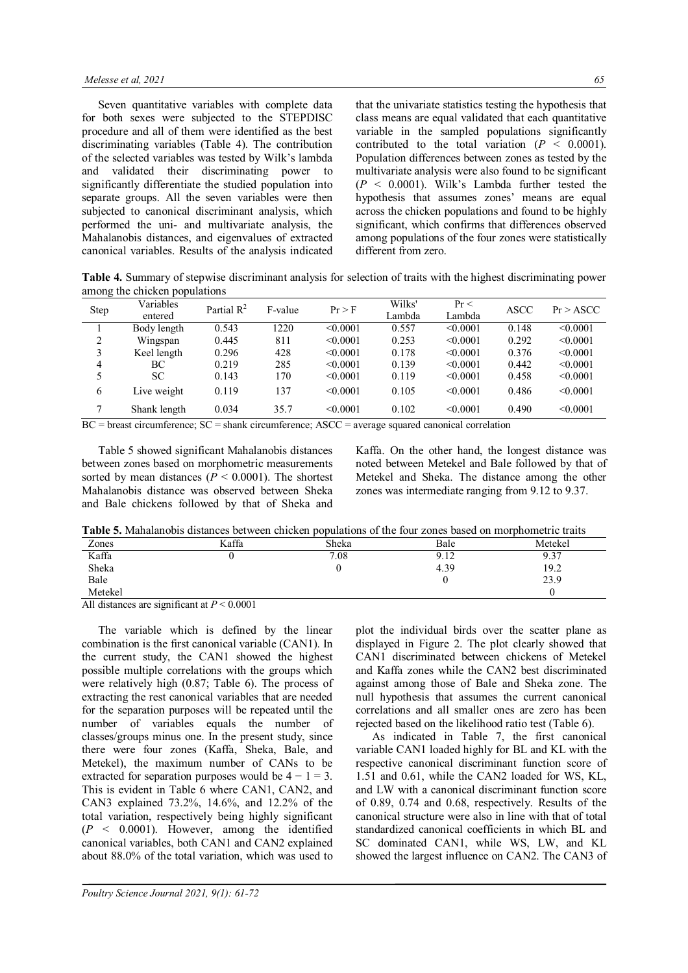Seven quantitative variables with complete data for both sexes were subjected to the STEPDISC procedure and all of them were identified as the best discriminating variables (Table 4). The contribution of the selected variables was tested by Wilk's lambda and validated their discriminating power to significantly differentiate the studied population into separate groups. All the seven variables were then subjected to canonical discriminant analysis, which performed the uni- and multivariate analysis, the Mahalanobis distances, and eigenvalues of extracted canonical variables. Results of the analysis indicated

that the univariate statistics testing the hypothesis that class means are equal validated that each quantitative variable in the sampled populations significantly contributed to the total variation  $(P < 0.0001)$ . Population differences between zones as tested by the multivariate analysis were also found to be significant  $(P \le 0.0001)$ . Wilk's Lambda further tested the hypothesis that assumes zones' means are equal across the chicken populations and found to be highly significant, which confirms that differences observed among populations of the four zones were statistically different from zero.

**Table 4.** Summary of stepwise discriminant analysis for selection of traits with the highest discriminating power among the chicken populations

| Step | Variables<br>entered | Partial $R^2$ | F-value | Pr > F        | Wilks'<br>Lambda | $Pr$ <<br>Lambda | ASCC  | Pr > ASCC |
|------|----------------------|---------------|---------|---------------|------------------|------------------|-------|-----------|
|      | Body length          | 0.543         | 1220    | < 0.0001      | 0.557            | < 0.0001         | 0.148 | < 0.0001  |
| 2    | Wingspan             | 0.445         | 811     | < 0.0001      | 0.253            | < 0.0001         | 0.292 | < 0.0001  |
| 3    | Keel length          | 0.296         | 428     | < 0.0001      | 0.178            | < 0.0001         | 0.376 | < 0.0001  |
| 4    | ВC                   | 0.219         | 285     | < 0.0001      | 0.139            | < 0.0001         | 0.442 | < 0.0001  |
|      | SС                   | 0.143         | 170     | $\leq 0.0001$ | 0.119            | < 0.0001         | 0.458 | < 0.0001  |
| 6    | Live weight          | 0.119         | 137     | < 0.0001      | 0.105            | < 0.0001         | 0.486 | < 0.0001  |
| 7    | Shank length         | 0.034         | 35.7    | < 0.0001      | 0.102            | < 0.0001         | 0.490 | < 0.0001  |

 $BC =$  breast circumference:  $SC =$  shank circumference:  $ASCC =$  average squared canonical correlation

Table 5 showed significant Mahalanobis distances between zones based on morphometric measurements sorted by mean distances ( $P \le 0.0001$ ). The shortest Mahalanobis distance was observed between Sheka and Bale chickens followed by that of Sheka and

Kaffa. On the other hand, the longest distance was noted between Metekel and Bale followed by that of Metekel and Sheka. The distance among the other zones was intermediate ranging from 9.12 to 9.37.

| <b>Table 5.</b> Mahalanobis distances between chicken populations of the four zones based on morphometric traits |  |  |  |  |  |  |  |  |  |
|------------------------------------------------------------------------------------------------------------------|--|--|--|--|--|--|--|--|--|
|------------------------------------------------------------------------------------------------------------------|--|--|--|--|--|--|--|--|--|

| Zones                                              | Kaffa | Sheka | Bale | Metekel                 |
|----------------------------------------------------|-------|-------|------|-------------------------|
| Kaffa                                              |       | 7.08  | 9.12 | Q <sub>37</sub><br>9.3. |
| Sheka                                              |       |       | 4.39 | 19.2                    |
| Bale                                               |       |       |      | 23.9                    |
| Metekel                                            |       |       |      |                         |
| All distances are significant at $D \n\leq 0.0001$ |       |       |      |                         |

All distances are significant at *P* < 0.0001

The variable which is defined by the linear combination is the first canonical variable (CAN1). In the current study, the CAN1 showed the highest possible multiple correlations with the groups which were relatively high (0.87; Table 6). The process of extracting the rest canonical variables that are needed for the separation purposes will be repeated until the number of variables equals the number of classes/groups minus one. In the present study, since there were four zones (Kaffa, Sheka, Bale, and Metekel), the maximum number of CANs to be extracted for separation purposes would be  $4 - 1 = 3$ . This is evident in Table 6 where CAN1, CAN2, and CAN3 explained 73.2%, 14.6%, and 12.2% of the total variation, respectively being highly significant (*P* < 0.0001). However, among the identified canonical variables, both CAN1 and CAN2 explained about 88.0% of the total variation, which was used to

plot the individual birds over the scatter plane as displayed in Figure 2. The plot clearly showed that CAN1 discriminated between chickens of Metekel and Kaffa zones while the CAN2 best discriminated against among those of Bale and Sheka zone. The null hypothesis that assumes the current canonical correlations and all smaller ones are zero has been rejected based on the likelihood ratio test (Table 6).

As indicated in Table 7, the first canonical variable CAN1 loaded highly for BL and KL with the respective canonical discriminant function score of 1.51 and 0.61, while the CAN2 loaded for WS, KL, and LW with a canonical discriminant function score of 0.89, 0.74 and 0.68, respectively. Results of the canonical structure were also in line with that of total standardized canonical coefficients in which BL and SC dominated CAN1, while WS, LW, and KL showed the largest influence on CAN2. The CAN3 of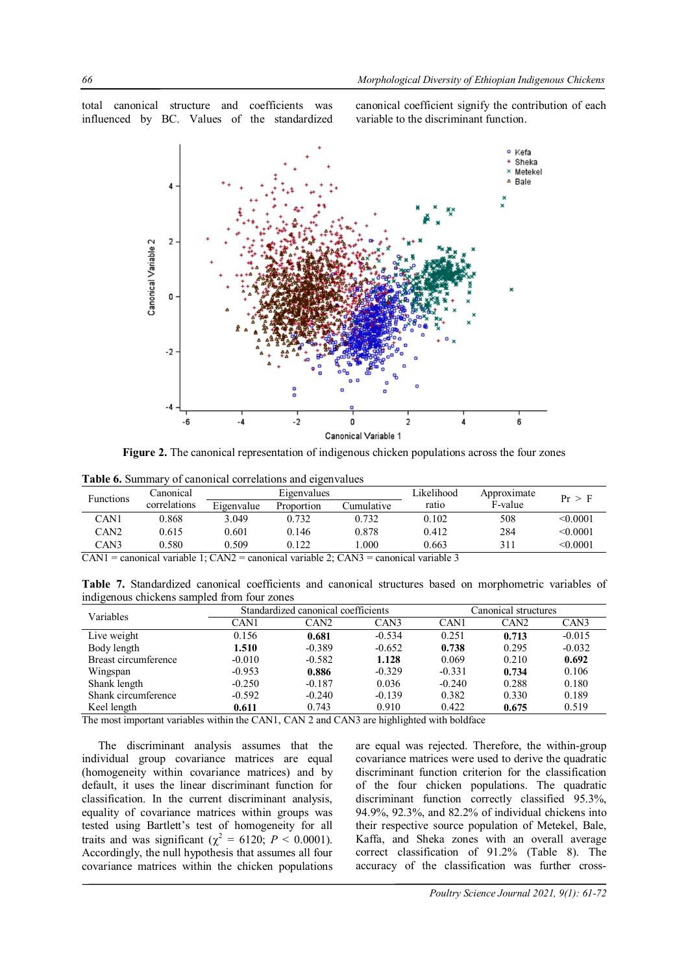total canonical structure and coefficients was influenced by BC. Values of the standardized canonical coefficient signify the contribution of each variable to the discriminant function.



**Figure 2.** The canonical representation of indigenous chicken populations across the four zones

| <b>Functions</b> | Canonical    |            | Eigenvalues |            | Likelihood | Approximate | Pr > F        |  |
|------------------|--------------|------------|-------------|------------|------------|-------------|---------------|--|
|                  | correlations | Eigenvalue | Proportion  | `umulative | ratio      | F-value     |               |  |
| CAN <sub>1</sub> | 0.868        | 3.049      | 0.732       | 0.732      | 0.102      | 508         | $\leq 0.0001$ |  |
| CAN <sub>2</sub> | 0.615        | 0.601      | 0.146       | 0.878      | 0.412      | 284         | $\leq 0.0001$ |  |
| CAN3             | 0.580        | 0.509      | 0.122       | .000       | 0.663      | 311         | < 0.0001      |  |
| ________         | .            | _______    | .           | _______    | .          |             |               |  |

 $CAN1$  = canonical variable 1;  $CAN2$  = canonical variable 2;  $CAN3$  = canonical variable 3

**Table 7.** Standardized canonical coefficients and canonical structures based on morphometric variables of indigenous chickens sampled from four zones

| Variables            |                                                                                                                                                                                                                                                                                                                                                                                                                                                                          |      | Canonical structures |  |          |  |
|----------------------|--------------------------------------------------------------------------------------------------------------------------------------------------------------------------------------------------------------------------------------------------------------------------------------------------------------------------------------------------------------------------------------------------------------------------------------------------------------------------|------|----------------------|--|----------|--|
|                      | Standardized canonical coefficients<br>CAN3<br>CAN1<br>CAN <sub>2</sub><br>CAN1<br>CAN <sub>2</sub><br>$-0.534$<br>0.681<br>0.251<br>0.713<br>0.156<br>$-0.389$<br>$-0.652$<br>0.295<br>1.510<br>0.738<br>0.069<br>$-0.010$<br>$-0.582$<br>0.210<br>1.128<br>$-0.329$<br>$-0.953$<br>$-0.331$<br>0.886<br>0.734<br>$-0.187$<br>0.036<br>$-0.240$<br>0.288<br>$-0.250$<br>$-0.240$<br>0.382<br>0.330<br>$-0.592$<br>$-0.139$<br>0.743<br>0.910<br>0.422<br>0.675<br>0.611 | CAN3 |                      |  |          |  |
| Live weight          |                                                                                                                                                                                                                                                                                                                                                                                                                                                                          |      |                      |  | $-0.015$ |  |
| Body length          |                                                                                                                                                                                                                                                                                                                                                                                                                                                                          |      |                      |  | $-0.032$ |  |
| Breast circumference |                                                                                                                                                                                                                                                                                                                                                                                                                                                                          |      |                      |  | 0.692    |  |
| Wingspan             |                                                                                                                                                                                                                                                                                                                                                                                                                                                                          |      |                      |  | 0.106    |  |
| Shank length         |                                                                                                                                                                                                                                                                                                                                                                                                                                                                          |      |                      |  | 0.180    |  |
| Shank circumference  |                                                                                                                                                                                                                                                                                                                                                                                                                                                                          |      |                      |  | 0.189    |  |
| Keel length<br>.     | .                                                                                                                                                                                                                                                                                                                                                                                                                                                                        |      |                      |  | 0.519    |  |

The most important variables within the CAN1, CAN 2 and CAN3 are highlighted with boldface

The discriminant analysis assumes that the individual group covariance matrices are equal (homogeneity within covariance matrices) and by default, it uses the linear discriminant function for classification. In the current discriminant analysis, equality of covariance matrices within groups was tested using Bartlett's test of homogeneity for all traits and was significant ( $\chi^2 = 6120$ ;  $P < 0.0001$ ). Accordingly, the null hypothesis that assumes all four covariance matrices within the chicken populations

are equal was rejected. Therefore, the within-group covariance matrices were used to derive the quadratic discriminant function criterion for the classification of the four chicken populations. The quadratic discriminant function correctly classified 95.3%, 94.9%, 92.3%, and 82.2% of individual chickens into their respective source population of Metekel, Bale, Kaffa, and Sheka zones with an overall average correct classification of 91.2% (Table 8). The accuracy of the classification was further cross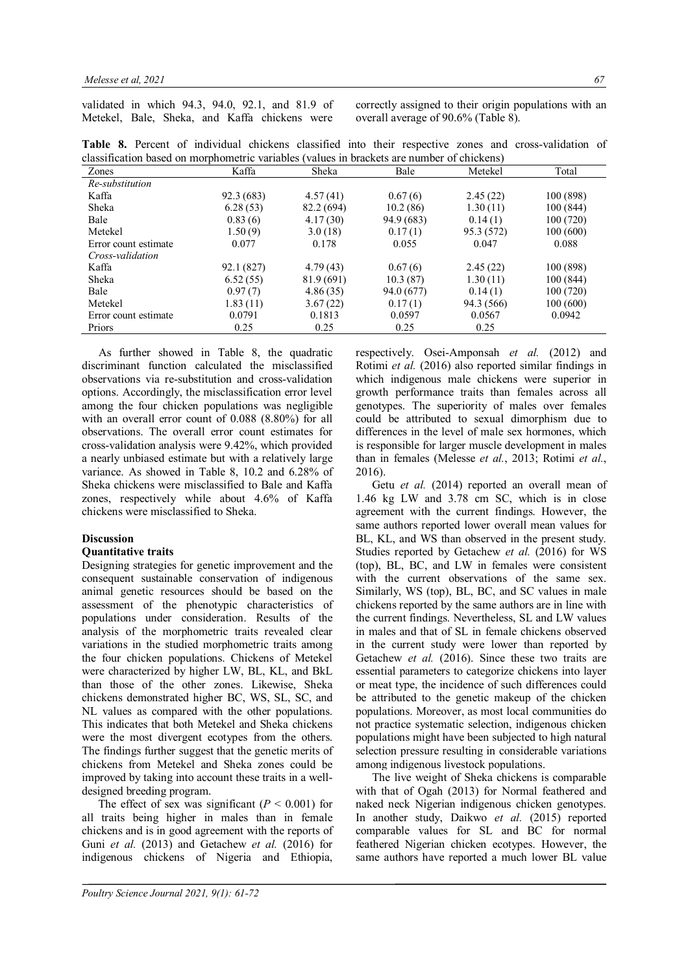validated in which 94.3, 94.0, 92.1, and 81.9 of Metekel, Bale, Sheka, and Kaffa chickens were

correctly assigned to their origin populations with an overall average of 90.6% (Table 8).

|  |  |                                                                                            |  |  |  | Table 8. Percent of individual chickens classified into their respective zones and cross-validation of |  |
|--|--|--------------------------------------------------------------------------------------------|--|--|--|--------------------------------------------------------------------------------------------------------|--|
|  |  | classification based on morphometric variables (values in brackets are number of chickens) |  |  |  |                                                                                                        |  |
|  |  |                                                                                            |  |  |  |                                                                                                        |  |

| Zones                | Kaffa      | Sheka      | Bale       | Metekel    | Total     |
|----------------------|------------|------------|------------|------------|-----------|
| Re-substitution      |            |            |            |            |           |
| Kaffa                | 92.3 (683) | 4.57(41)   | 0.67(6)    | 2.45(22)   | 100 (898) |
| Sheka                | 6.28(53)   | 82.2 (694) | 10.2(86)   | 1.30(11)   | 100 (844) |
| Bale                 | 0.83(6)    | 4.17(30)   | 94.9 (683) | 0.14(1)    | 100 (720) |
| Metekel              | 1.50(9)    | 3.0(18)    | 0.17(1)    | 95.3 (572) | 100 (600) |
| Error count estimate | 0.077      | 0.178      | 0.055      | 0.047      | 0.088     |
| Cross-validation     |            |            |            |            |           |
| Kaffa                | 92.1 (827) | 4.79(43)   | 0.67(6)    | 2.45(22)   | 100 (898) |
| Sheka                | 6.52(55)   | 81.9 (691) | 10.3(87)   | 1.30(11)   | 100 (844) |
| Bale                 | 0.97(7)    | 4.86(35)   | 94.0 (677) | 0.14(1)    | 100(720)  |
| Metekel              | 1.83(11)   | 3.67(22)   | 0.17(1)    | 94.3 (566) | 100(600)  |
| Error count estimate | 0.0791     | 0.1813     | 0.0597     | 0.0567     | 0.0942    |
| Priors               | 0.25       | 0.25       | 0.25       | 0.25       |           |

As further showed in Table 8, the quadratic discriminant function calculated the misclassified observations via re-substitution and cross-validation options. Accordingly, the misclassification error level among the four chicken populations was negligible with an overall error count of 0.088 (8.80%) for all observations. The overall error count estimates for cross-validation analysis were 9.42%, which provided a nearly unbiased estimate but with a relatively large variance. As showed in Table 8, 10.2 and 6.28% of Sheka chickens were misclassified to Bale and Kaffa zones, respectively while about 4.6% of Kaffa chickens were misclassified to Sheka.

#### **Discussion**

# **Quantitative traits**

Designing strategies for genetic improvement and the consequent sustainable conservation of indigenous animal genetic resources should be based on the assessment of the phenotypic characteristics of populations under consideration. Results of the analysis of the morphometric traits revealed clear variations in the studied morphometric traits among the four chicken populations. Chickens of Metekel were characterized by higher LW, BL, KL, and BkL than those of the other zones. Likewise, Sheka chickens demonstrated higher BC, WS, SL, SC, and NL values as compared with the other populations. This indicates that both Metekel and Sheka chickens were the most divergent ecotypes from the others. The findings further suggest that the genetic merits of chickens from Metekel and Sheka zones could be improved by taking into account these traits in a welldesigned breeding program.

The effect of sex was significant  $(P \le 0.001)$  for all traits being higher in males than in female chickens and is in good agreement with the reports of Guni *et al.* (2013) and Getachew *et al.* (2016) for indigenous chickens of Nigeria and Ethiopia,

respectively. Osei-Amponsah *et al.* (2012) and Rotimi *et al.* (2016) also reported similar findings in which indigenous male chickens were superior in growth performance traits than females across all genotypes. The superiority of males over females could be attributed to sexual dimorphism due to differences in the level of male sex hormones, which is responsible for larger muscle development in males than in females (Melesse *et al.*, 2013; Rotimi *et al.*, 2016).

Getu *et al.* (2014) reported an overall mean of 1.46 kg LW and 3.78 cm SC, which is in close agreement with the current findings. However, the same authors reported lower overall mean values for BL, KL, and WS than observed in the present study. Studies reported by Getachew *et al.* (2016) for WS (top), BL, BC, and LW in females were consistent with the current observations of the same sex. Similarly, WS (top), BL, BC, and SC values in male chickens reported by the same authors are in line with the current findings. Nevertheless, SL and LW values in males and that of SL in female chickens observed in the current study were lower than reported by Getachew *et al.* (2016). Since these two traits are essential parameters to categorize chickens into layer or meat type, the incidence of such differences could be attributed to the genetic makeup of the chicken populations. Moreover, as most local communities do not practice systematic selection, indigenous chicken populations might have been subjected to high natural selection pressure resulting in considerable variations among indigenous livestock populations.

The live weight of Sheka chickens is comparable with that of Ogah (2013) for Normal feathered and naked neck Nigerian indigenous chicken genotypes. In another study, Daikwo *et al.* (2015) reported comparable values for SL and BC for normal feathered Nigerian chicken ecotypes. However, the same authors have reported a much lower BL value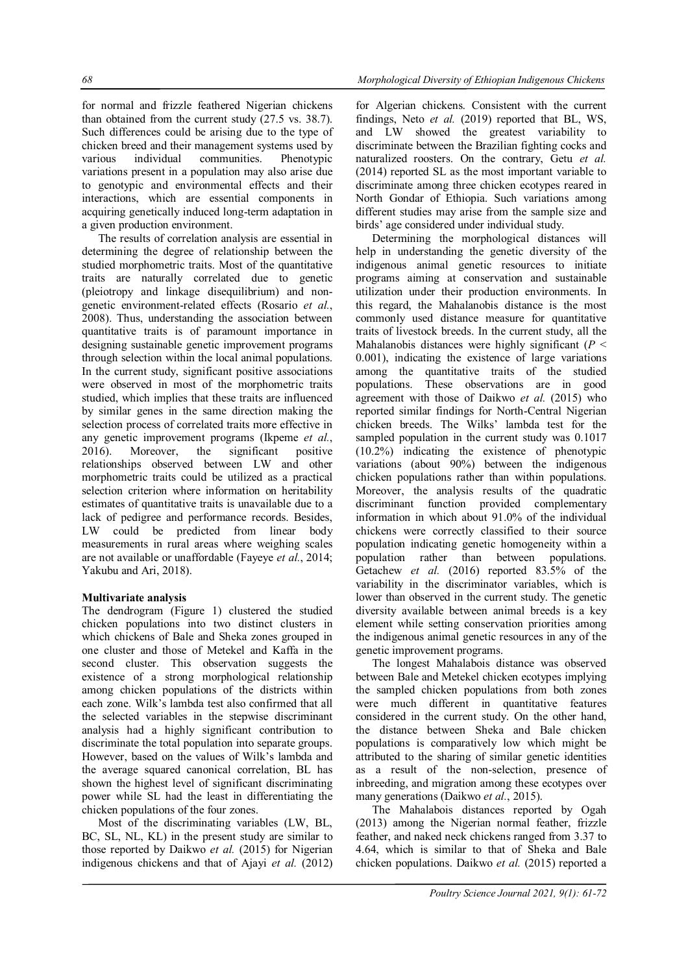for normal and frizzle feathered Nigerian chickens than obtained from the current study (27.5 vs. 38.7). Such differences could be arising due to the type of chicken breed and their management systems used by various individual communities. Phenotypic variations present in a population may also arise due to genotypic and environmental effects and their interactions, which are essential components in acquiring genetically induced long-term adaptation in a given production environment.

The results of correlation analysis are essential in determining the degree of relationship between the studied morphometric traits. Most of the quantitative traits are naturally correlated due to genetic (pleiotropy and linkage disequilibrium) and nongenetic environment-related effects (Rosario *et al.*, 2008). Thus, understanding the association between quantitative traits is of paramount importance in designing sustainable genetic improvement programs through selection within the local animal populations. In the current study, significant positive associations were observed in most of the morphometric traits studied, which implies that these traits are influenced by similar genes in the same direction making the selection process of correlated traits more effective in any genetic improvement programs (Ikpeme *et al.*, 2016). Moreover, the significant positive relationships observed between LW and other morphometric traits could be utilized as a practical selection criterion where information on heritability estimates of quantitative traits is unavailable due to a lack of pedigree and performance records. Besides, LW could be predicted from linear body measurements in rural areas where weighing scales are not available or unaffordable (Fayeye *et al.*, 2014; Yakubu and Ari, 2018).

### **Multivariate analysis**

The dendrogram (Figure 1) clustered the studied chicken populations into two distinct clusters in which chickens of Bale and Sheka zones grouped in one cluster and those of Metekel and Kaffa in the second cluster. This observation suggests the existence of a strong morphological relationship among chicken populations of the districts within each zone. Wilk's lambda test also confirmed that all the selected variables in the stepwise discriminant analysis had a highly significant contribution to discriminate the total population into separate groups. However, based on the values of Wilk's lambda and the average squared canonical correlation, BL has shown the highest level of significant discriminating power while SL had the least in differentiating the chicken populations of the four zones.

Most of the discriminating variables (LW, BL, BC, SL, NL, KL) in the present study are similar to those reported by Daikwo *et al.* (2015) for Nigerian indigenous chickens and that of Ajayi *et al.* (2012)

for Algerian chickens. Consistent with the current findings, Neto *et al.* (2019) reported that BL, WS, and LW showed the greatest variability to discriminate between the Brazilian fighting cocks and naturalized roosters. On the contrary, Getu *et al.* (2014) reported SL as the most important variable to discriminate among three chicken ecotypes reared in North Gondar of Ethiopia. Such variations among different studies may arise from the sample size and birds' age considered under individual study.

Determining the morphological distances will help in understanding the genetic diversity of the indigenous animal genetic resources to initiate programs aiming at conservation and sustainable utilization under their production environments. In this regard, the Mahalanobis distance is the most commonly used distance measure for quantitative traits of livestock breeds. In the current study, all the Mahalanobis distances were highly significant (*P* < 0.001), indicating the existence of large variations among the quantitative traits of the studied populations. These observations are in good agreement with those of Daikwo *et al.* (2015) who reported similar findings for North-Central Nigerian chicken breeds. The Wilks' lambda test for the sampled population in the current study was 0.1017 (10.2%) indicating the existence of phenotypic variations (about 90%) between the indigenous chicken populations rather than within populations. Moreover, the analysis results of the quadratic discriminant function provided complementary information in which about 91.0% of the individual chickens were correctly classified to their source population indicating genetic homogeneity within a population rather than between populations. Getachew *et al.* (2016) reported 83.5% of the variability in the discriminator variables, which is lower than observed in the current study. The genetic diversity available between animal breeds is a key element while setting conservation priorities among the indigenous animal genetic resources in any of the genetic improvement programs.

The longest Mahalabois distance was observed between Bale and Metekel chicken ecotypes implying the sampled chicken populations from both zones were much different in quantitative features considered in the current study. On the other hand, the distance between Sheka and Bale chicken populations is comparatively low which might be attributed to the sharing of similar genetic identities as a result of the non-selection, presence of inbreeding, and migration among these ecotypes over many generations (Daikwo *et al.*, 2015).

The Mahalabois distances reported by Ogah (2013) among the Nigerian normal feather, frizzle feather, and naked neck chickens ranged from 3.37 to 4.64, which is similar to that of Sheka and Bale chicken populations. Daikwo *et al.* (2015) reported a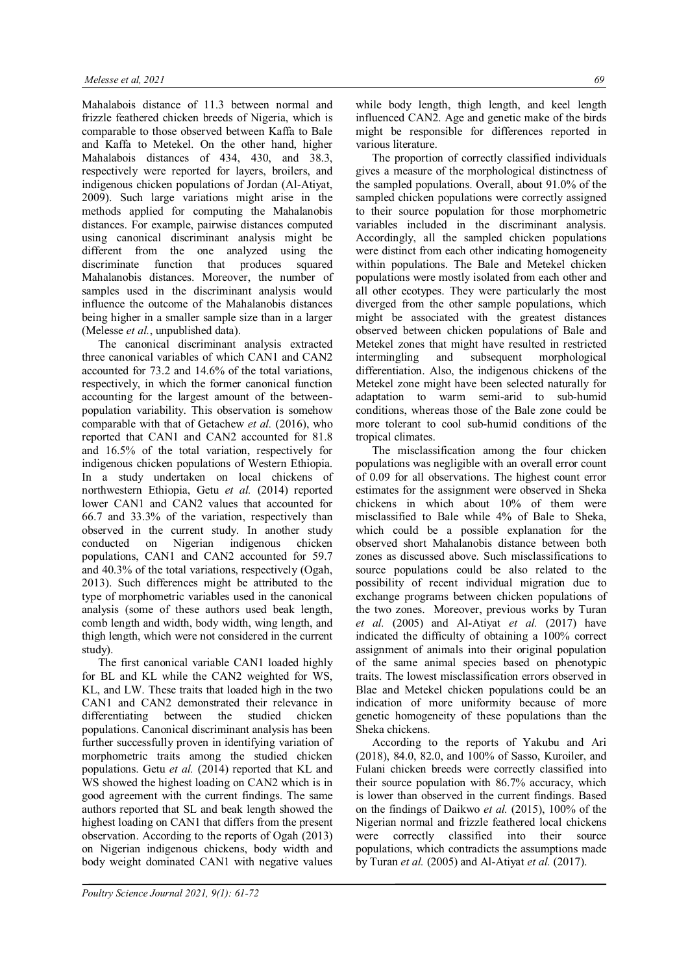Mahalabois distance of 11.3 between normal and frizzle feathered chicken breeds of Nigeria, which is comparable to those observed between Kaffa to Bale and Kaffa to Metekel. On the other hand, higher Mahalabois distances of 434, 430, and 38.3, respectively were reported for layers, broilers, and indigenous chicken populations of Jordan (Al-Atiyat, 2009). Such large variations might arise in the methods applied for computing the Mahalanobis distances. For example, pairwise distances computed using canonical discriminant analysis might be different from the one analyzed using the discriminate function that produces squared Mahalanobis distances. Moreover, the number of samples used in the discriminant analysis would influence the outcome of the Mahalanobis distances being higher in a smaller sample size than in a larger (Melesse *et al.*, unpublished data).

The canonical discriminant analysis extracted three canonical variables of which CAN1 and CAN2 accounted for 73.2 and 14.6% of the total variations, respectively, in which the former canonical function accounting for the largest amount of the betweenpopulation variability. This observation is somehow comparable with that of Getachew *et al.* (2016), who reported that CAN1 and CAN2 accounted for 81.8 and 16.5% of the total variation, respectively for indigenous chicken populations of Western Ethiopia. In a study undertaken on local chickens of northwestern Ethiopia, Getu *et al.* (2014) reported lower CAN1 and CAN2 values that accounted for 66.7 and 33.3% of the variation, respectively than observed in the current study. In another study conducted on Nigerian indigenous chicken populations, CAN1 and CAN2 accounted for 59.7 and 40.3% of the total variations, respectively (Ogah, 2013). Such differences might be attributed to the type of morphometric variables used in the canonical analysis (some of these authors used beak length, comb length and width, body width, wing length, and thigh length, which were not considered in the current study).

The first canonical variable CAN1 loaded highly for BL and KL while the CAN2 weighted for WS, KL, and LW. These traits that loaded high in the two CAN1 and CAN2 demonstrated their relevance in differentiating between the studied chicken populations. Canonical discriminant analysis has been further successfully proven in identifying variation of morphometric traits among the studied chicken populations. Getu *et al.* (2014) reported that KL and WS showed the highest loading on CAN2 which is in good agreement with the current findings. The same authors reported that SL and beak length showed the highest loading on CAN1 that differs from the present observation. According to the reports of Ogah (2013) on Nigerian indigenous chickens, body width and body weight dominated CAN1 with negative values

while body length, thigh length, and keel length influenced CAN2. Age and genetic make of the birds might be responsible for differences reported in various literature.

The proportion of correctly classified individuals gives a measure of the morphological distinctness of the sampled populations. Overall, about 91.0% of the sampled chicken populations were correctly assigned to their source population for those morphometric variables included in the discriminant analysis. Accordingly, all the sampled chicken populations were distinct from each other indicating homogeneity within populations. The Bale and Metekel chicken populations were mostly isolated from each other and all other ecotypes. They were particularly the most diverged from the other sample populations, which might be associated with the greatest distances observed between chicken populations of Bale and Metekel zones that might have resulted in restricted intermingling and subsequent morphological differentiation. Also, the indigenous chickens of the Metekel zone might have been selected naturally for adaptation to warm semi-arid to sub-humid conditions, whereas those of the Bale zone could be more tolerant to cool sub-humid conditions of the tropical climates.

The misclassification among the four chicken populations was negligible with an overall error count of 0.09 for all observations. The highest count error estimates for the assignment were observed in Sheka chickens in which about 10% of them were misclassified to Bale while 4% of Bale to Sheka, which could be a possible explanation for the observed short Mahalanobis distance between both zones as discussed above. Such misclassifications to source populations could be also related to the possibility of recent individual migration due to exchange programs between chicken populations of the two zones. Moreover, previous works by Turan *et al.* (2005) and Al-Atiyat *et al.* (2017) have indicated the difficulty of obtaining a 100% correct assignment of animals into their original population of the same animal species based on phenotypic traits. The lowest misclassification errors observed in Blae and Metekel chicken populations could be an indication of more uniformity because of more genetic homogeneity of these populations than the Sheka chickens.

According to the reports of Yakubu and Ari (2018), 84.0, 82.0, and 100% of Sasso, Kuroiler, and Fulani chicken breeds were correctly classified into their source population with 86.7% accuracy, which is lower than observed in the current findings. Based on the findings of Daikwo *et al.* (2015), 100% of the Nigerian normal and frizzle feathered local chickens were correctly classified into their source populations, which contradicts the assumptions made by Turan *et al.* (2005) and Al-Atiyat *et al.* (2017).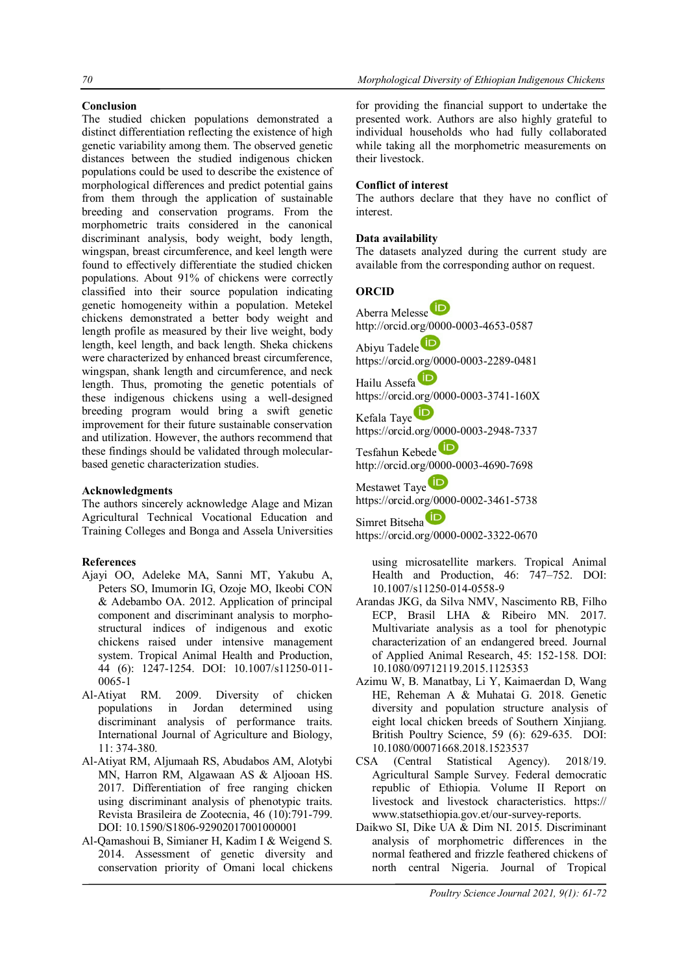## **Conclusion**

The studied chicken populations demonstrated a distinct differentiation reflecting the existence of high genetic variability among them. The observed genetic distances between the studied indigenous chicken populations could be used to describe the existence of morphological differences and predict potential gains from them through the application of sustainable breeding and conservation programs. From the morphometric traits considered in the canonical discriminant analysis, body weight, body length, wingspan, breast circumference, and keel length were found to effectively differentiate the studied chicken populations. About 91% of chickens were correctly classified into their source population indicating genetic homogeneity within a population. Metekel chickens demonstrated a better body weight and length profile as measured by their live weight, body length, keel length, and back length. Sheka chickens were characterized by enhanced breast circumference, wingspan, shank length and circumference, and neck length. Thus, promoting the genetic potentials of these indigenous chickens using a well-designed breeding program would bring a swift genetic improvement for their future sustainable conservation and utilization. However, the authors recommend that these findings should be validated through molecularbased genetic characterization studies.

### **Acknowledgments**

The authors sincerely acknowledge Alage and Mizan Agricultural Technical Vocational Education and Training Colleges and Bonga and Assela Universities

## **References**

- Ajayi OO, Adeleke MA, Sanni MT, Yakubu A, Peters SO, Imumorin IG, Ozoje MO, Ikeobi CON & Adebambo OA. 2012. Application of principal component and discriminant analysis to morphostructural indices of indigenous and exotic chickens raised under intensive management system. Tropical Animal Health and Production, 44 (6): 1247-1254. DOI: 10.1007/s11250-011- 0065-1
- Al-Atiyat RM. 2009. Diversity of chicken populations in Jordan determined using discriminant analysis of performance traits. International Journal of Agriculture and Biology, 11: 374-380.
- Al-Atiyat RM, Aljumaah RS, Abudabos AM, Alotybi MN, Harron RM, Algawaan AS & Aljooan HS. 2017. Differentiation of free ranging chicken using discriminant analysis of phenotypic traits. Revista Brasileira de Zootecnia, 46 (10):791-799. DOI: 10.1590/S1806-92902017001000001
- Al-Qamashoui B, Simianer H, Kadim I & Weigend S. 2014. Assessment of genetic diversity and conservation priority of Omani local chickens

for providing the financial support to undertake the presented work. Authors are also highly grateful to individual households who had fully collaborated while taking all the morphometric measurements on their livestock.

#### **Conflict of interest**

The authors declare that they have no conflict of interest.

#### **Data availability**

The datasets analyzed during the current study are available from the corresponding author on request.

### **ORCID**

Aberra Melesse http://orcid.org/0000-0003-4653-0587 Abiyu Tadele<sup>D</sup> https://orcid.org/0000-0003-2289-0481 Hailu Assefa https://orcid.org/0000-0003-3741-160X Kefala Taye https://orcid.org/0000-0003-2948-7337 Tesfahun Kebede<sup>D</sup> http://orcid.org/0000-0003-4690-7698 Mestawet Taye<sup>D</sup> https://orcid.org/0000-0002-3461-5738 Simret Bitseha

https://orcid.org/0000-0002-3322-0670

using microsatellite markers. Tropical Animal Health and Production, 46: 747–752. DOI: 10.1007/s11250-014-0558-9

- Arandas JKG, da Silva NMV, Nascimento RB, Filho ECP, Brasil LHA & Ribeiro MN. 2017. Multivariate analysis as a tool for phenotypic characterization of an endangered breed. Journal of Applied Animal Research, 45: 152-158. DOI: 10.1080/09712119.2015.1125353
- Azimu W, B. Manatbay, Li Y, Kaimaerdan D, Wang HE, Reheman A & Muhatai G. 2018. Genetic diversity and population structure analysis of eight local chicken breeds of Southern Xinjiang. British Poultry Science, 59 (6): 629-635. DOI: 10.1080/00071668.2018.1523537
- CSA (Central Statistical Agency). 2018/19. Agricultural Sample Survey. Federal democratic republic of Ethiopia. Volume II Report on livestock and livestock characteristics. https:// www.statsethiopia.gov.et/our-survey-reports.
- Daikwo SI, Dike UA & Dim NI. 2015. Discriminant analysis of morphometric differences in the normal feathered and frizzle feathered chickens of north central Nigeria. Journal of Tropical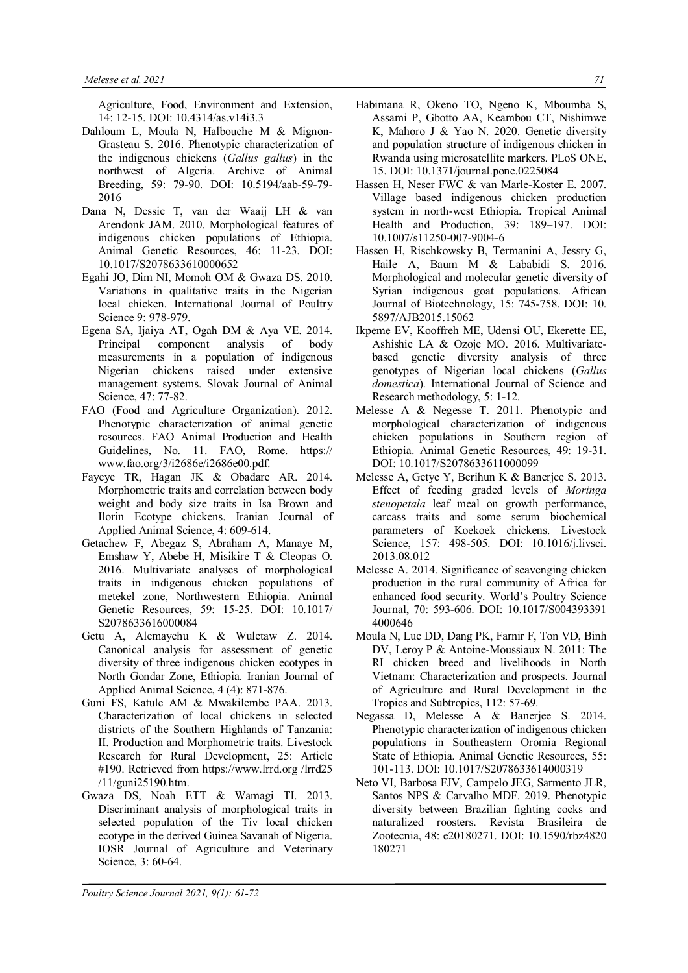Agriculture, Food, Environment and Extension, 14: 12-15. DOI: 10.4314/as.v14i3.3

- Dahloum L, Moula N, Halbouche M & Mignon-Grasteau S. 2016. Phenotypic characterization of the indigenous chickens (*Gallus gallus*) in the northwest of Algeria. Archive of Animal Breeding, 59: 79-90. DOI: 10.5194/aab-59-79- 2016
- Dana N, Dessie T, van der Waaij LH & van Arendonk JAM. 2010. Morphological features of indigenous chicken populations of Ethiopia. Animal Genetic Resources, 46: 11-23. DOI: 10.1017/S2078633610000652
- Egahi JO, Dim NI, Momoh OM & Gwaza DS. 2010. Variations in qualitative traits in the Nigerian local chicken. International Journal of Poultry Science 9: 978-979.
- Egena SA, Ijaiya AT, Ogah DM & Aya VE. 2014. Principal component analysis of body measurements in a population of indigenous Nigerian chickens raised under extensive management systems. Slovak Journal of Animal Science, 47: 77-82.
- FAO (Food and Agriculture Organization). 2012. Phenotypic characterization of animal genetic resources. FAO Animal Production and Health Guidelines, No. 11. FAO, Rome. https:// www.fao.org/3/i2686e/i2686e00.pdf.
- Fayeye TR, Hagan JK & Obadare AR. 2014. Morphometric traits and correlation between body weight and body size traits in Isa Brown and Ilorin Ecotype chickens. Iranian Journal of Applied Animal Science, 4: 609-614.
- Getachew F, Abegaz S, Abraham A, Manaye M, Emshaw Y, Abebe H, Misikire T & Cleopas O. 2016. Multivariate analyses of morphological traits in indigenous chicken populations of metekel zone, Northwestern Ethiopia. Animal Genetic Resources, 59: 15-25. DOI: 10.1017/ S2078633616000084
- Getu A, Alemayehu K & Wuletaw Z. 2014. Canonical analysis for assessment of genetic diversity of three indigenous chicken ecotypes in North Gondar Zone, Ethiopia. Iranian Journal of Applied Animal Science, 4 (4): 871-876.
- Guni FS, Katule AM & Mwakilembe PAA. 2013. Characterization of local chickens in selected districts of the Southern Highlands of Tanzania: II. Production and Morphometric traits. Livestock Research for Rural Development, 25: Article #190. Retrieved from https://www.lrrd.org /lrrd25 /11/guni25190.htm.
- Gwaza DS, Noah ETT & Wamagi TI. 2013. Discriminant analysis of morphological traits in selected population of the Tiv local chicken ecotype in the derived Guinea Savanah of Nigeria. IOSR Journal of Agriculture and Veterinary Science, 3: 60-64.
- Habimana R, Okeno TO, Ngeno K, Mboumba S, Assami P, Gbotto AA, Keambou CT, Nishimwe K, Mahoro J & Yao N. 2020. Genetic diversity and population structure of indigenous chicken in Rwanda using microsatellite markers. PLoS ONE, 15. DOI: 10.1371/journal.pone.0225084
- Hassen H, Neser FWC & van Marle-Koster E. 2007. Village based indigenous chicken production system in north-west Ethiopia. Tropical Animal Health and Production, 39: 189–197. DOI: 10.1007/s11250-007-9004-6
- Hassen H, Rischkowsky B, Termanini A, Jessry G, Haile A, Baum M & Lababidi S. 2016. Morphological and molecular genetic diversity of Syrian indigenous goat populations. African Journal of Biotechnology, 15: 745-758. DOI: 10. 5897/AJB2015.15062
- Ikpeme EV, Kooffreh ME, Udensi OU, Ekerette EE, Ashishie LA & Ozoje MO. 2016. Multivariatebased genetic diversity analysis of three genotypes of Nigerian local chickens (*Gallus domestica*). International Journal of Science and Research methodology, 5: 1-12.
- Melesse A & Negesse T. 2011. Phenotypic and morphological characterization of indigenous chicken populations in Southern region of Ethiopia. Animal Genetic Resources, 49: 19-31. DOI: 10.1017/S2078633611000099
- Melesse A, Getye Y, Berihun K & Banerjee S. 2013. Effect of feeding graded levels of *Moringa stenopetala* leaf meal on growth performance, carcass traits and some serum biochemical parameters of Koekoek chickens. Livestock Science, 157: 498-505. DOI: 10.1016/j.livsci. 2013.08.012
- Melesse A. 2014. Significance of scavenging chicken production in the rural community of Africa for enhanced food security. World's Poultry Science Journal, 70: 593-606. DOI: 10.1017/S004393391 4000646
- Moula N, Luc DD, Dang PK, Farnir F, Ton VD, Binh DV, Leroy P & Antoine-Moussiaux N. 2011: The RI chicken breed and livelihoods in North Vietnam: Characterization and prospects. Journal of Agriculture and Rural Development in the Tropics and Subtropics, 112: 57-69.
- Negassa D, Melesse A & Banerjee S. 2014. Phenotypic characterization of indigenous chicken populations in Southeastern Oromia Regional State of Ethiopia. Animal Genetic Resources, 55: 101-113. DOI: 10.1017/S2078633614000319
- Neto VI, Barbosa FJV, Campelo JEG, Sarmento JLR, Santos NPS & Carvalho MDF. 2019. Phenotypic diversity between Brazilian fighting cocks and naturalized roosters. Revista Brasileira de Zootecnia, 48: e20180271. DOI: 10.1590/rbz4820 180271

*Poultry Science Journal 2021, 9(1): 61-72*